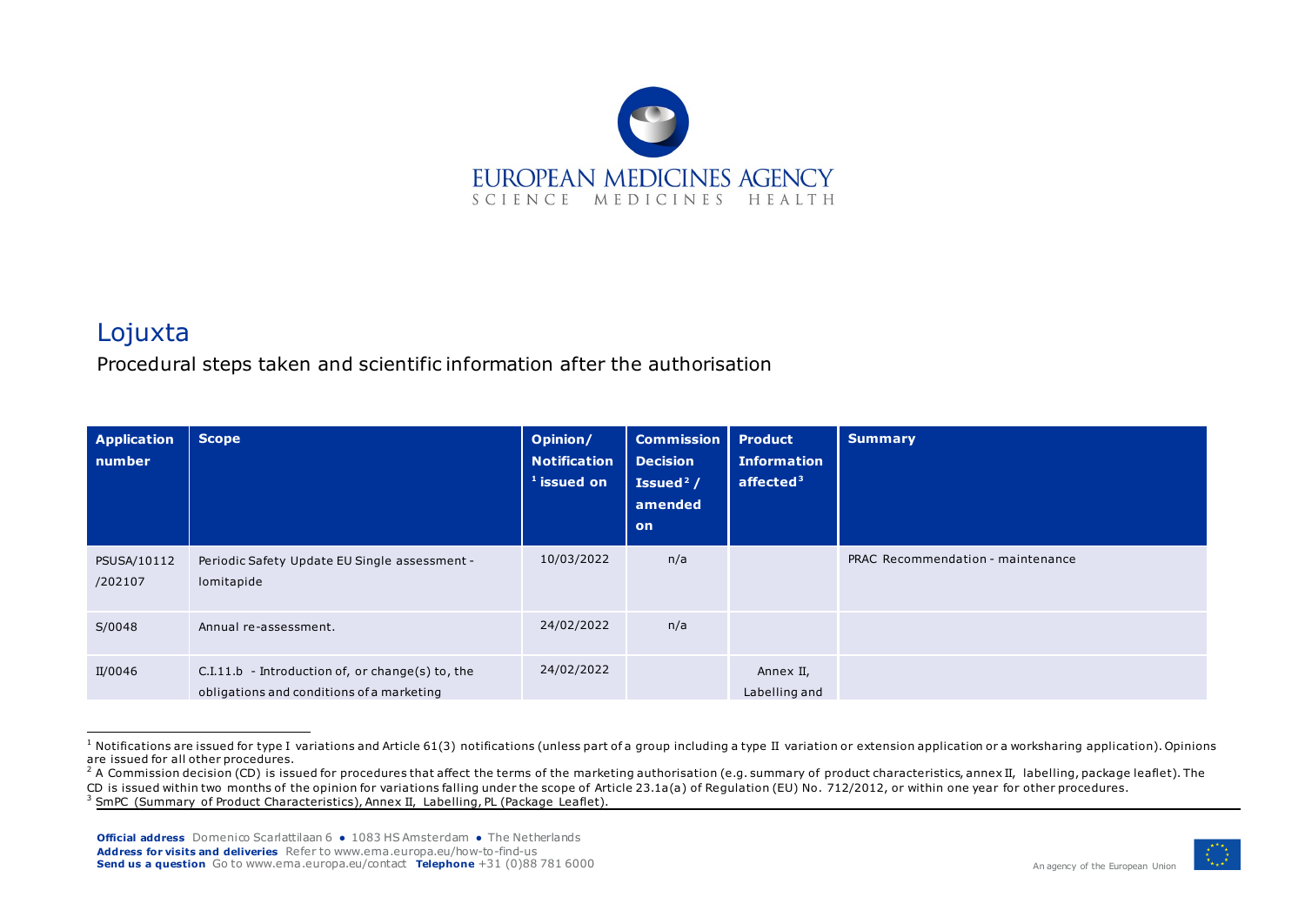<span id="page-0-2"></span><span id="page-0-1"></span><span id="page-0-0"></span>

## Lojuxta

Procedural steps taken and scientific information after the authorisation

| <b>Application</b><br>number | <b>Scope</b>                                                                                    | Opinion/<br><b>Notification</b><br>$1$ issued on | <b>Commission   Product</b><br><b>Decision</b><br>Issued $2/$<br>amended<br><b>on</b> | <b>Information</b><br>affected $3$ | <b>Summary</b>                    |
|------------------------------|-------------------------------------------------------------------------------------------------|--------------------------------------------------|---------------------------------------------------------------------------------------|------------------------------------|-----------------------------------|
| PSUSA/10112<br>/202107       | Periodic Safety Update EU Single assessment -<br>lomitapide                                     | 10/03/2022                                       | n/a                                                                                   |                                    | PRAC Recommendation - maintenance |
| S/0048                       | Annual re-assessment.                                                                           | 24/02/2022                                       | n/a                                                                                   |                                    |                                   |
| II/0046                      | $C.I.11.b - Introduction of, or change(s) to, the$<br>obligations and conditions of a marketing | 24/02/2022                                       |                                                                                       | Annex II,<br>Labelling and         |                                   |

<sup>&</sup>lt;sup>1</sup> Notifications are issued for type I variations and Article 61(3) notifications (unless part of a group including a type II variation or extension application or a worksharing application). Opinions are issued for all other procedures.



<sup>&</sup>lt;sup>2</sup> A Commission decision (CD) is issued for procedures that affect the terms of the marketing authorisation (e.g. summary of product characteristics, annex II, labelling, package leaflet). The

CD is issued within two months of the opinion for variations falling under the scope of Article 23.1a(a) of Regulation (EU) No. 712/2012, or within one year for other procedures.

<sup>3</sup> SmPC (Summary of Product Characteristics), Annex II, Labelling, PL (Package Leaflet).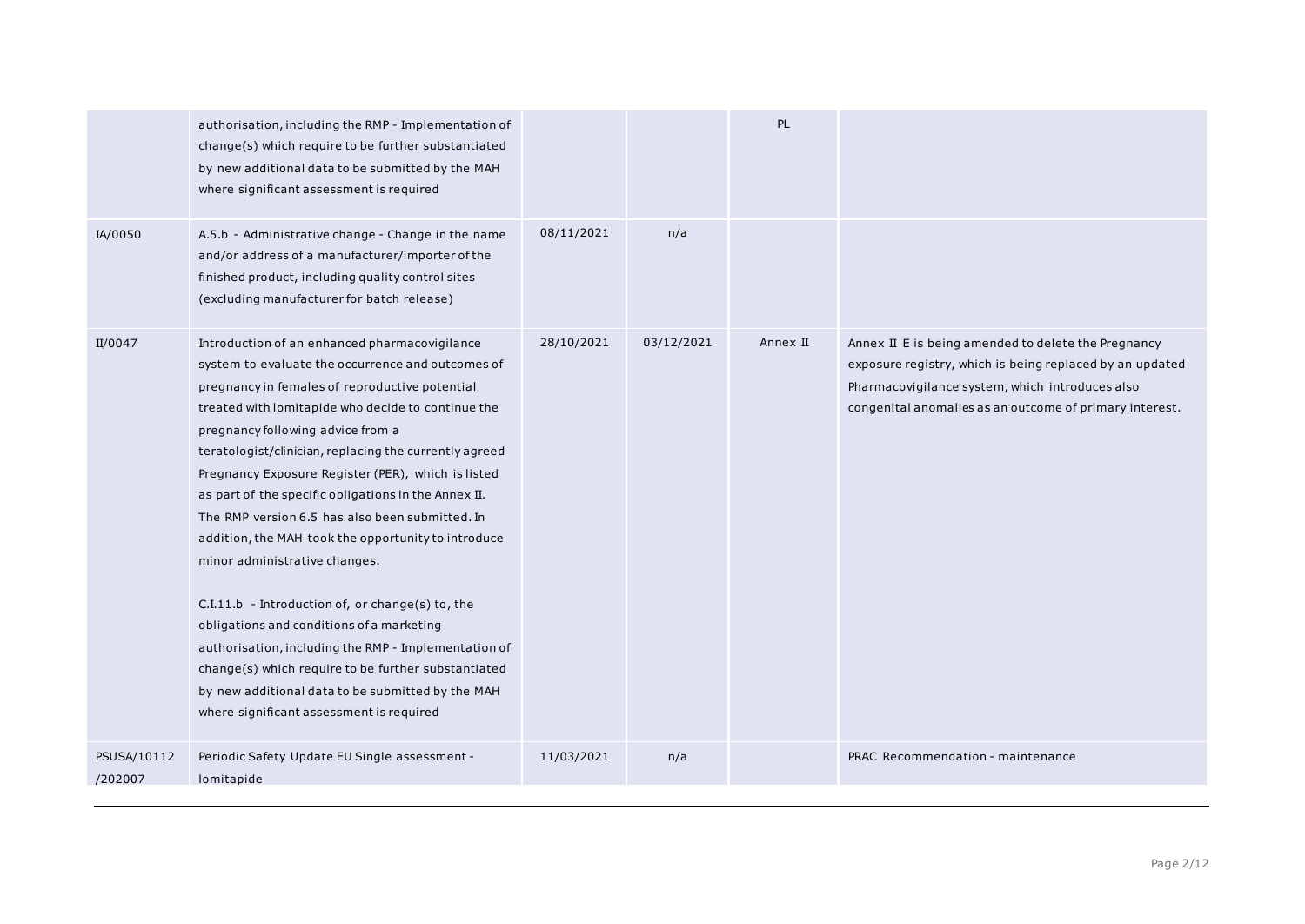|                        | authorisation, including the RMP - Implementation of<br>change(s) which require to be further substantiated<br>by new additional data to be submitted by the MAH<br>where significant assessment is required                                                                                                                                                                                                                                                                                                                                                                                                                                                                                                                                                                                                                                                                        |            |            | PL       |                                                                                                                                                                                                                               |
|------------------------|-------------------------------------------------------------------------------------------------------------------------------------------------------------------------------------------------------------------------------------------------------------------------------------------------------------------------------------------------------------------------------------------------------------------------------------------------------------------------------------------------------------------------------------------------------------------------------------------------------------------------------------------------------------------------------------------------------------------------------------------------------------------------------------------------------------------------------------------------------------------------------------|------------|------------|----------|-------------------------------------------------------------------------------------------------------------------------------------------------------------------------------------------------------------------------------|
| IA/0050                | A.5.b - Administrative change - Change in the name<br>and/or address of a manufacturer/importer of the<br>finished product, including quality control sites<br>(excluding manufacturer for batch release)                                                                                                                                                                                                                                                                                                                                                                                                                                                                                                                                                                                                                                                                           | 08/11/2021 | n/a        |          |                                                                                                                                                                                                                               |
| II/0047                | Introduction of an enhanced pharmacovigilance<br>system to evaluate the occurrence and outcomes of<br>pregnancy in females of reproductive potential<br>treated with lomitapide who decide to continue the<br>pregnancy following advice from a<br>teratologist/clinician, replacing the currently agreed<br>Pregnancy Exposure Register (PER), which is listed<br>as part of the specific obligations in the Annex II.<br>The RMP version 6.5 has also been submitted. In<br>addition, the MAH took the opportunity to introduce<br>minor administrative changes.<br>C.I.11.b - Introduction of, or change(s) to, the<br>obligations and conditions of a marketing<br>authorisation, including the RMP - Implementation of<br>change(s) which require to be further substantiated<br>by new additional data to be submitted by the MAH<br>where significant assessment is required | 28/10/2021 | 03/12/2021 | Annex II | Annex II E is being amended to delete the Pregnancy<br>exposure registry, which is being replaced by an updated<br>Pharmacovigilance system, which introduces also<br>congenital anomalies as an outcome of primary interest. |
| PSUSA/10112<br>/202007 | Periodic Safety Update EU Single assessment -<br>lomitapide                                                                                                                                                                                                                                                                                                                                                                                                                                                                                                                                                                                                                                                                                                                                                                                                                         | 11/03/2021 | n/a        |          | PRAC Recommendation - maintenance                                                                                                                                                                                             |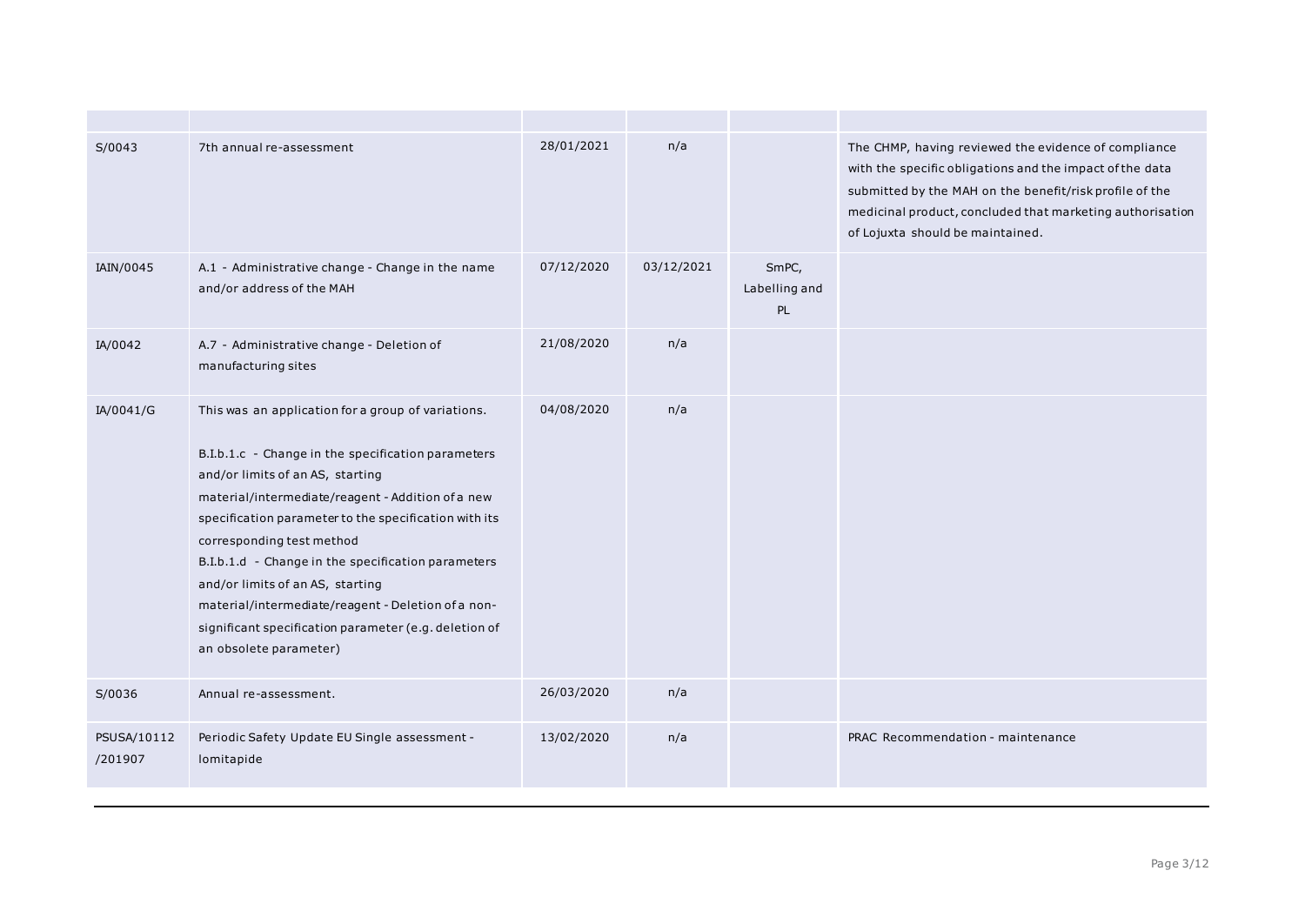| S/0043                 | 7th annual re-assessment                                                                                                                                                                                                                                                                                                                                                                                                                                                                                                   | 28/01/2021 | n/a        |                              | The CHMP, having reviewed the evidence of compliance<br>with the specific obligations and the impact of the data<br>submitted by the MAH on the benefit/risk profile of the<br>medicinal product, concluded that marketing authorisation<br>of Lojuxta should be maintained. |
|------------------------|----------------------------------------------------------------------------------------------------------------------------------------------------------------------------------------------------------------------------------------------------------------------------------------------------------------------------------------------------------------------------------------------------------------------------------------------------------------------------------------------------------------------------|------------|------------|------------------------------|------------------------------------------------------------------------------------------------------------------------------------------------------------------------------------------------------------------------------------------------------------------------------|
| IAIN/0045              | A.1 - Administrative change - Change in the name<br>and/or address of the MAH                                                                                                                                                                                                                                                                                                                                                                                                                                              | 07/12/2020 | 03/12/2021 | SmPC,<br>Labelling and<br>PL |                                                                                                                                                                                                                                                                              |
| IA/0042                | A.7 - Administrative change - Deletion of<br>manufacturing sites                                                                                                                                                                                                                                                                                                                                                                                                                                                           | 21/08/2020 | n/a        |                              |                                                                                                                                                                                                                                                                              |
| IA/0041/G              | This was an application for a group of variations.<br>B.I.b.1.c - Change in the specification parameters<br>and/or limits of an AS, starting<br>material/intermediate/reagent - Addition of a new<br>specification parameter to the specification with its<br>corresponding test method<br>B.I.b.1.d - Change in the specification parameters<br>and/or limits of an AS, starting<br>material/intermediate/reagent - Deletion of a non-<br>significant specification parameter (e.g. deletion of<br>an obsolete parameter) | 04/08/2020 | n/a        |                              |                                                                                                                                                                                                                                                                              |
| S/0036                 | Annual re-assessment.                                                                                                                                                                                                                                                                                                                                                                                                                                                                                                      | 26/03/2020 | n/a        |                              |                                                                                                                                                                                                                                                                              |
| PSUSA/10112<br>/201907 | Periodic Safety Update EU Single assessment -<br>lomitapide                                                                                                                                                                                                                                                                                                                                                                                                                                                                | 13/02/2020 | n/a        |                              | PRAC Recommendation - maintenance                                                                                                                                                                                                                                            |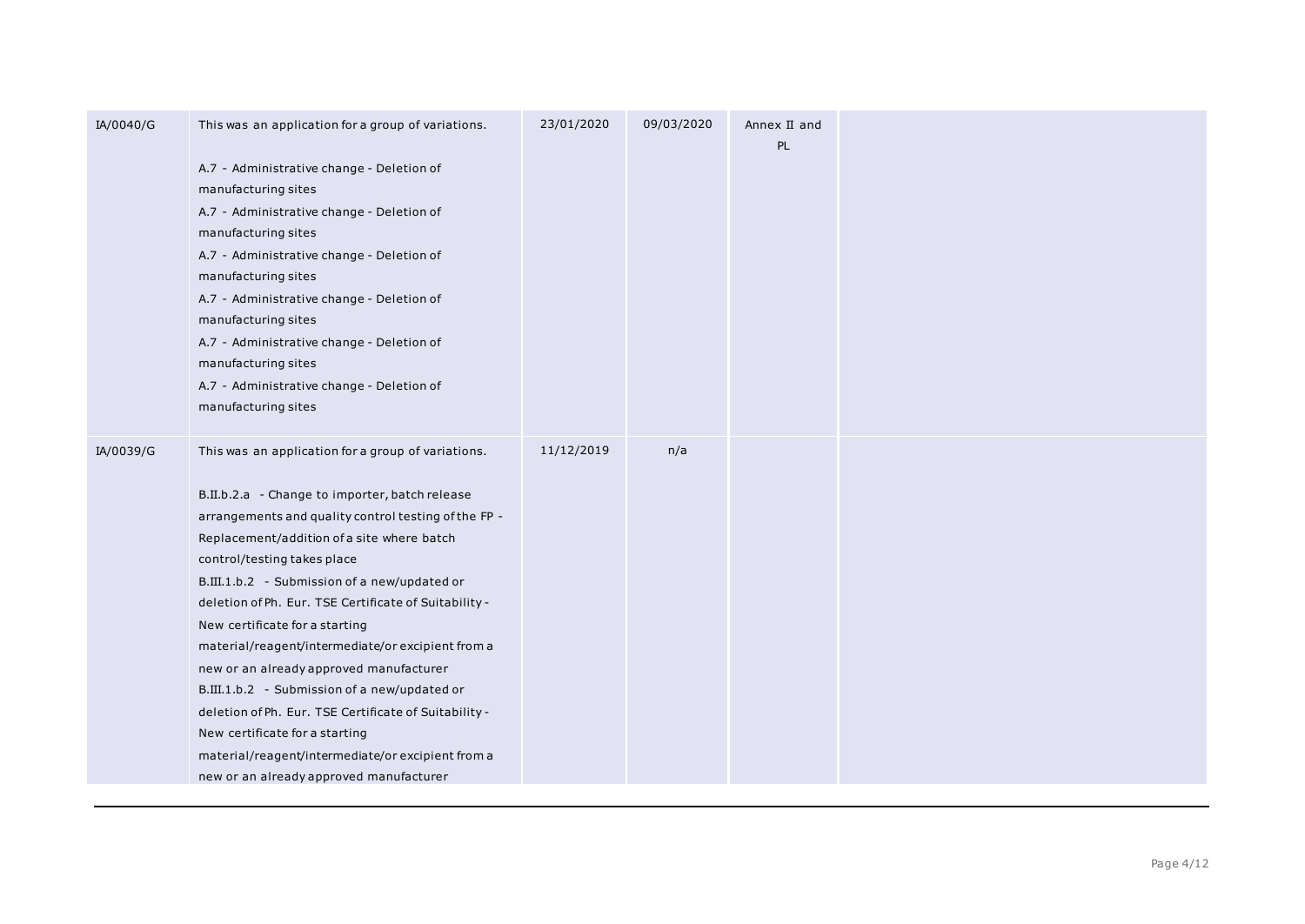| IA/0040/G | This was an application for a group of variations.<br>A.7 - Administrative change - Deletion of<br>manufacturing sites<br>A.7 - Administrative change - Deletion of<br>manufacturing sites<br>A.7 - Administrative change - Deletion of<br>manufacturing sites<br>A.7 - Administrative change - Deletion of<br>manufacturing sites<br>A.7 - Administrative change - Deletion of<br>manufacturing sites<br>A.7 - Administrative change - Deletion of                                                                                                                                                                                                                                                                             | 23/01/2020 | 09/03/2020 | Annex II and<br>PL |
|-----------|---------------------------------------------------------------------------------------------------------------------------------------------------------------------------------------------------------------------------------------------------------------------------------------------------------------------------------------------------------------------------------------------------------------------------------------------------------------------------------------------------------------------------------------------------------------------------------------------------------------------------------------------------------------------------------------------------------------------------------|------------|------------|--------------------|
|           | manufacturing sites                                                                                                                                                                                                                                                                                                                                                                                                                                                                                                                                                                                                                                                                                                             |            |            |                    |
| IA/0039/G | This was an application for a group of variations.<br>B.II.b.2.a - Change to importer, batch release<br>arrangements and quality control testing of the FP -<br>Replacement/addition of a site where batch<br>control/testing takes place<br>B.III.1.b.2 - Submission of a new/updated or<br>deletion of Ph. Eur. TSE Certificate of Suitability -<br>New certificate for a starting<br>material/reagent/intermediate/or excipient from a<br>new or an already approved manufacturer<br>B.III.1.b.2 - Submission of a new/updated or<br>deletion of Ph. Eur. TSE Certificate of Suitability -<br>New certificate for a starting<br>material/reagent/intermediate/or excipient from a<br>new or an already approved manufacturer | 11/12/2019 | n/a        |                    |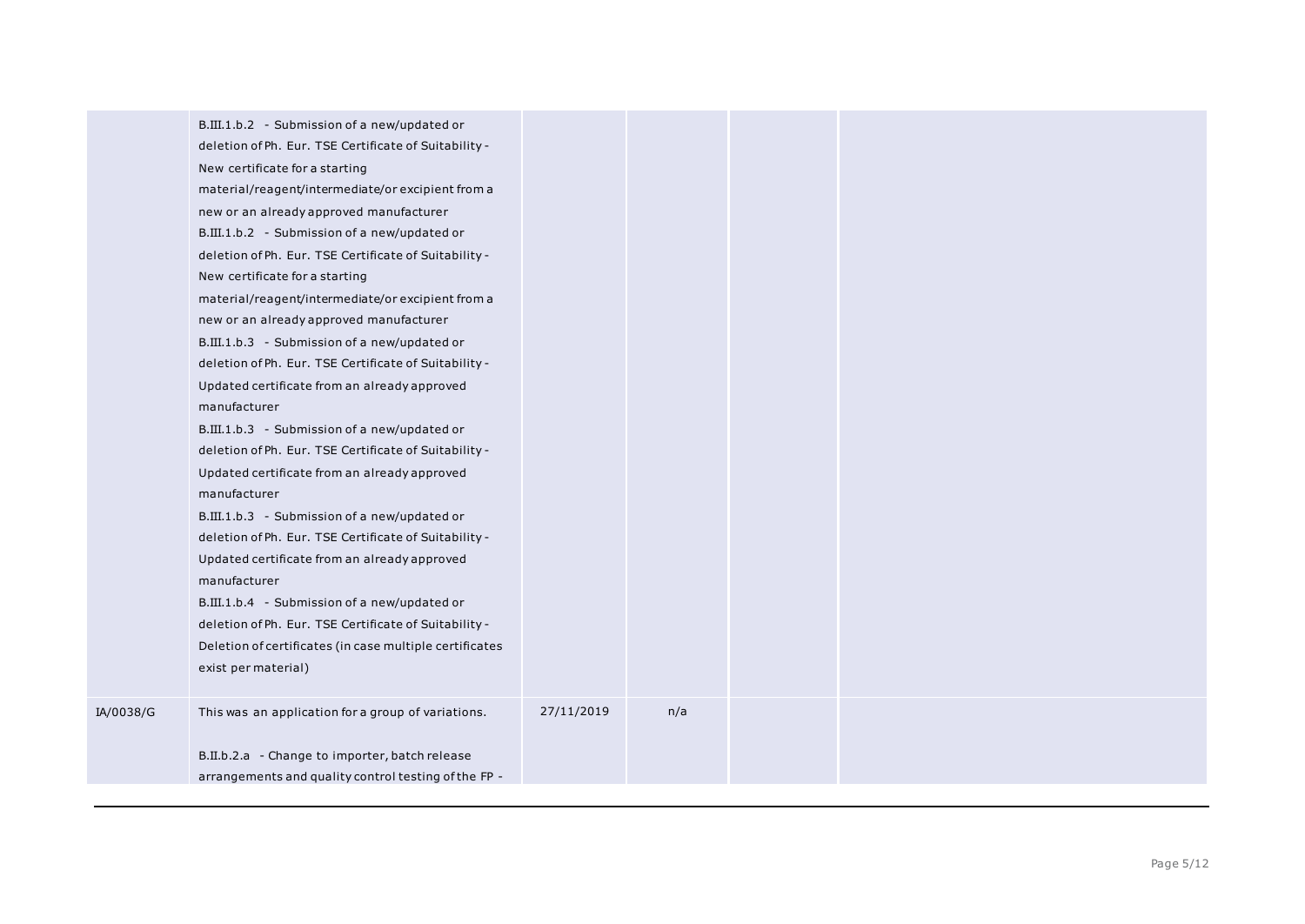|           | B.III.1.b.2 - Submission of a new/updated or<br>deletion of Ph. Eur. TSE Certificate of Suitability -<br>New certificate for a starting<br>material/reagent/intermediate/or excipient from a<br>new or an already approved manufacturer<br>B.III.1.b.2 - Submission of a new/updated or<br>deletion of Ph. Eur. TSE Certificate of Suitability -<br>New certificate for a starting<br>material/reagent/intermediate/or excipient from a<br>new or an already approved manufacturer<br>B.III.1.b.3 - Submission of a new/updated or<br>deletion of Ph. Eur. TSE Certificate of Suitability -<br>Updated certificate from an already approved<br>manufacturer |            |     |  |  |
|-----------|-------------------------------------------------------------------------------------------------------------------------------------------------------------------------------------------------------------------------------------------------------------------------------------------------------------------------------------------------------------------------------------------------------------------------------------------------------------------------------------------------------------------------------------------------------------------------------------------------------------------------------------------------------------|------------|-----|--|--|
|           | B.III.1.b.3 - Submission of a new/updated or<br>deletion of Ph. Eur. TSE Certificate of Suitability -<br>Updated certificate from an already approved<br>manufacturer<br>B.III.1.b.3 - Submission of a new/updated or<br>deletion of Ph. Eur. TSE Certificate of Suitability -<br>Updated certificate from an already approved<br>manufacturer<br>B.III.1.b.4 - Submission of a new/updated or<br>deletion of Ph. Eur. TSE Certificate of Suitability -<br>Deletion of certificates (in case multiple certificates<br>exist per material)                                                                                                                   |            |     |  |  |
| IA/0038/G | This was an application for a group of variations.<br>B.II.b.2.a - Change to importer, batch release<br>arrangements and quality control testing of the FP -                                                                                                                                                                                                                                                                                                                                                                                                                                                                                                | 27/11/2019 | n/a |  |  |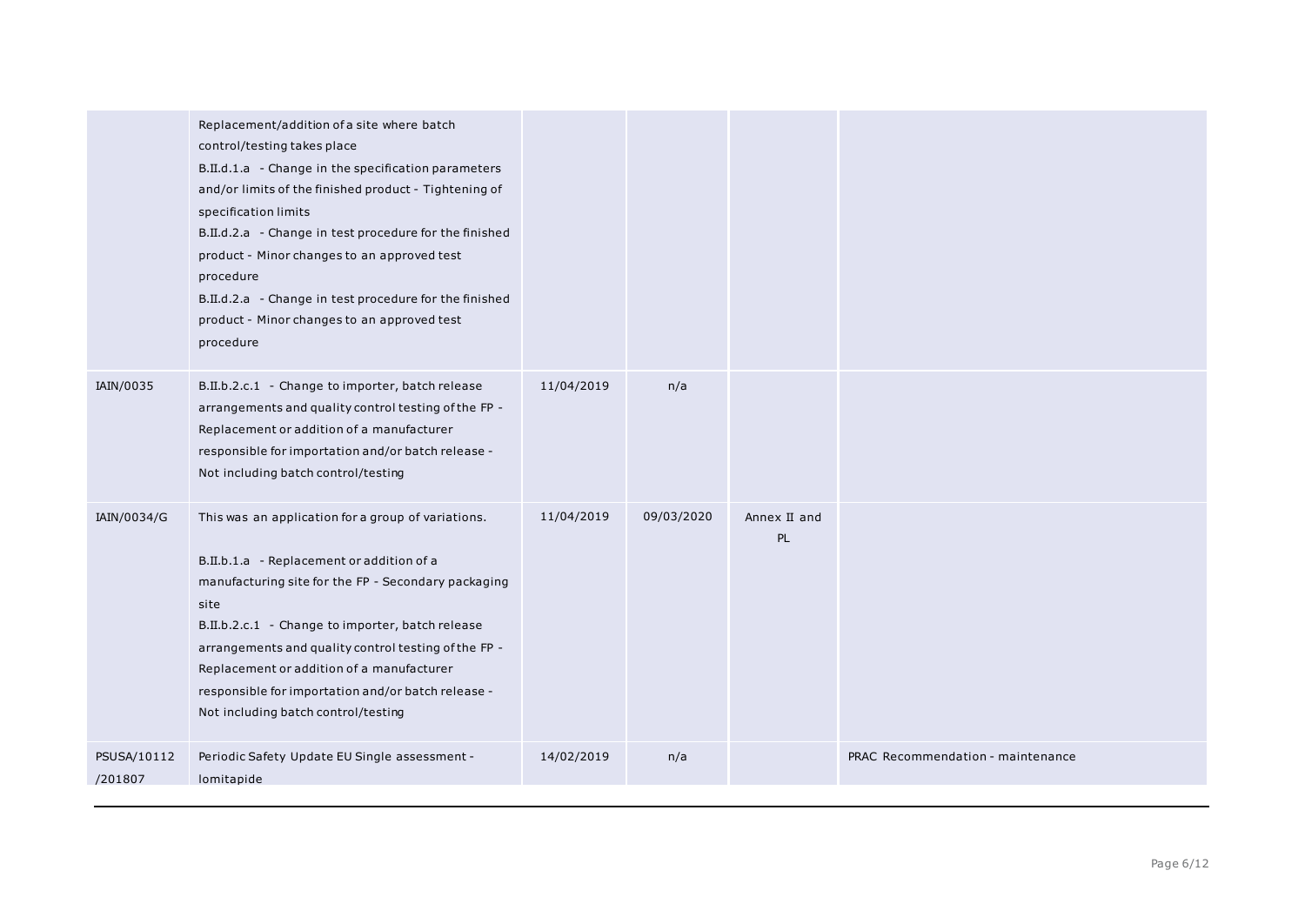|                        | Replacement/addition of a site where batch<br>control/testing takes place<br>B.II.d.1.a - Change in the specification parameters<br>and/or limits of the finished product - Tightening of<br>specification limits<br>B.II.d.2.a - Change in test procedure for the finished<br>product - Minor changes to an approved test<br>procedure<br>B.II.d.2.a - Change in test procedure for the finished<br>product - Minor changes to an approved test<br>procedure |            |            |                    |                                   |
|------------------------|---------------------------------------------------------------------------------------------------------------------------------------------------------------------------------------------------------------------------------------------------------------------------------------------------------------------------------------------------------------------------------------------------------------------------------------------------------------|------------|------------|--------------------|-----------------------------------|
| IAIN/0035              | B.II.b.2.c.1 - Change to importer, batch release<br>arrangements and quality control testing of the FP -<br>Replacement or addition of a manufacturer<br>responsible for importation and/or batch release -<br>Not including batch control/testing                                                                                                                                                                                                            | 11/04/2019 | n/a        |                    |                                   |
| IAIN/0034/G            | This was an application for a group of variations.<br>B.II.b.1.a - Replacement or addition of a<br>manufacturing site for the FP - Secondary packaging<br>site<br>B.II.b.2.c.1 - Change to importer, batch release<br>arrangements and quality control testing of the FP -<br>Replacement or addition of a manufacturer<br>responsible for importation and/or batch release -<br>Not including batch control/testing                                          | 11/04/2019 | 09/03/2020 | Annex II and<br>PL |                                   |
| PSUSA/10112<br>/201807 | Periodic Safety Update EU Single assessment -<br>lomitapide                                                                                                                                                                                                                                                                                                                                                                                                   | 14/02/2019 | n/a        |                    | PRAC Recommendation - maintenance |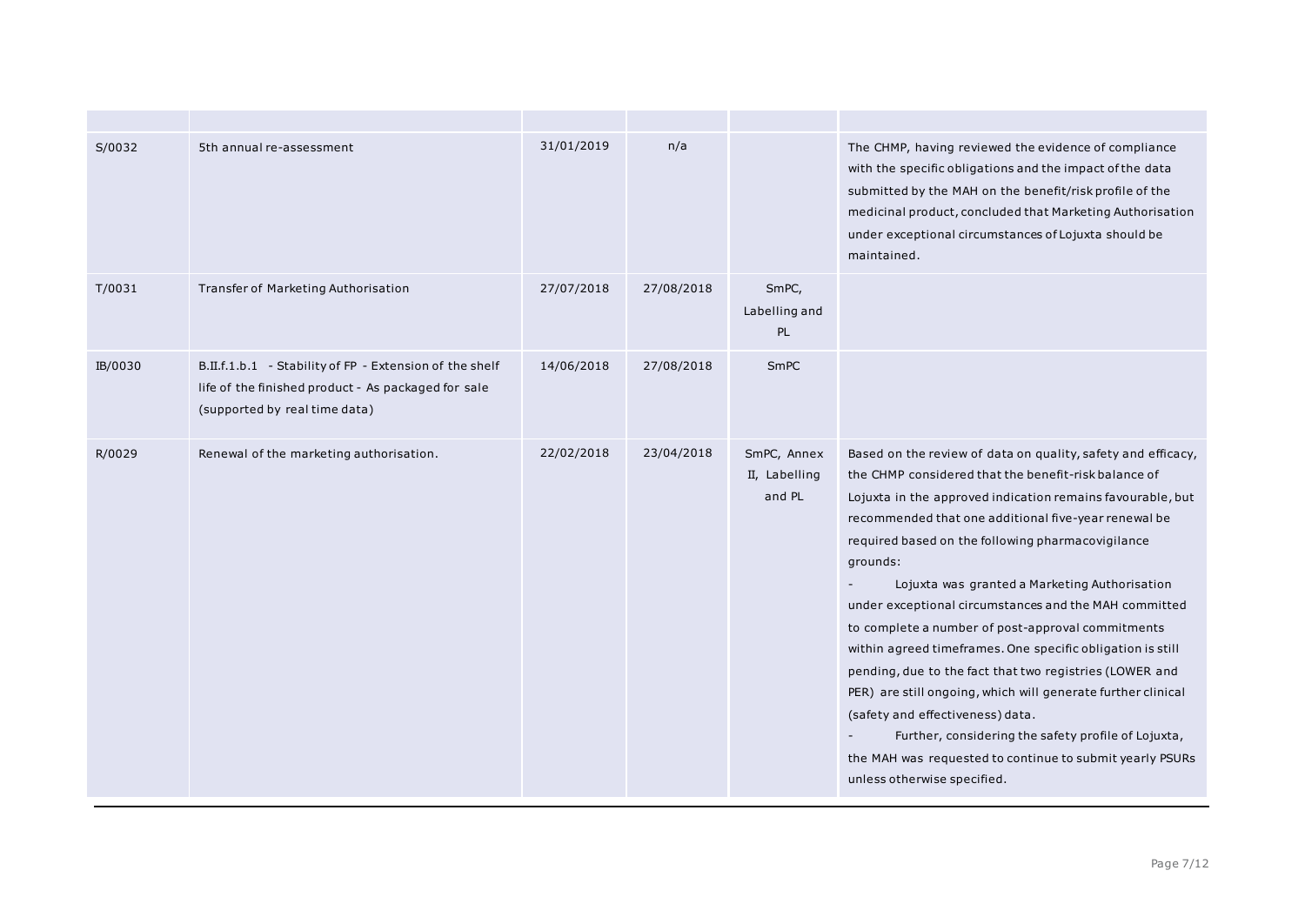| S/0032  | 5th annual re-assessment                                                                                                                        | 31/01/2019 | n/a        |                                        | The CHMP, having reviewed the evidence of compliance<br>with the specific obligations and the impact of the data<br>submitted by the MAH on the benefit/risk profile of the<br>medicinal product, concluded that Marketing Authorisation<br>under exceptional circumstances of Lojuxta should be<br>maintained.                                                                                                                                                                                                                                                                                                                                                                                                                                                                                                                                           |
|---------|-------------------------------------------------------------------------------------------------------------------------------------------------|------------|------------|----------------------------------------|-----------------------------------------------------------------------------------------------------------------------------------------------------------------------------------------------------------------------------------------------------------------------------------------------------------------------------------------------------------------------------------------------------------------------------------------------------------------------------------------------------------------------------------------------------------------------------------------------------------------------------------------------------------------------------------------------------------------------------------------------------------------------------------------------------------------------------------------------------------|
| T/0031  | Transfer of Marketing Authorisation                                                                                                             | 27/07/2018 | 27/08/2018 | SmPC,<br>Labelling and<br>PL           |                                                                                                                                                                                                                                                                                                                                                                                                                                                                                                                                                                                                                                                                                                                                                                                                                                                           |
| IB/0030 | B.II.f.1.b.1 - Stability of FP - Extension of the shelf<br>life of the finished product - As packaged for sale<br>(supported by real time data) | 14/06/2018 | 27/08/2018 | <b>SmPC</b>                            |                                                                                                                                                                                                                                                                                                                                                                                                                                                                                                                                                                                                                                                                                                                                                                                                                                                           |
| R/0029  | Renewal of the marketing authorisation.                                                                                                         | 22/02/2018 | 23/04/2018 | SmPC, Annex<br>II, Labelling<br>and PL | Based on the review of data on quality, safety and efficacy,<br>the CHMP considered that the benefit-risk balance of<br>Lojuxta in the approved indication remains favourable, but<br>recommended that one additional five-year renewal be<br>required based on the following pharmacovigilance<br>grounds:<br>Lojuxta was granted a Marketing Authorisation<br>under exceptional circumstances and the MAH committed<br>to complete a number of post-approval commitments<br>within agreed timeframes. One specific obligation is still<br>pending, due to the fact that two registries (LOWER and<br>PER) are still ongoing, which will generate further clinical<br>(safety and effectiveness) data.<br>Further, considering the safety profile of Lojuxta,<br>the MAH was requested to continue to submit yearly PSURs<br>unless otherwise specified. |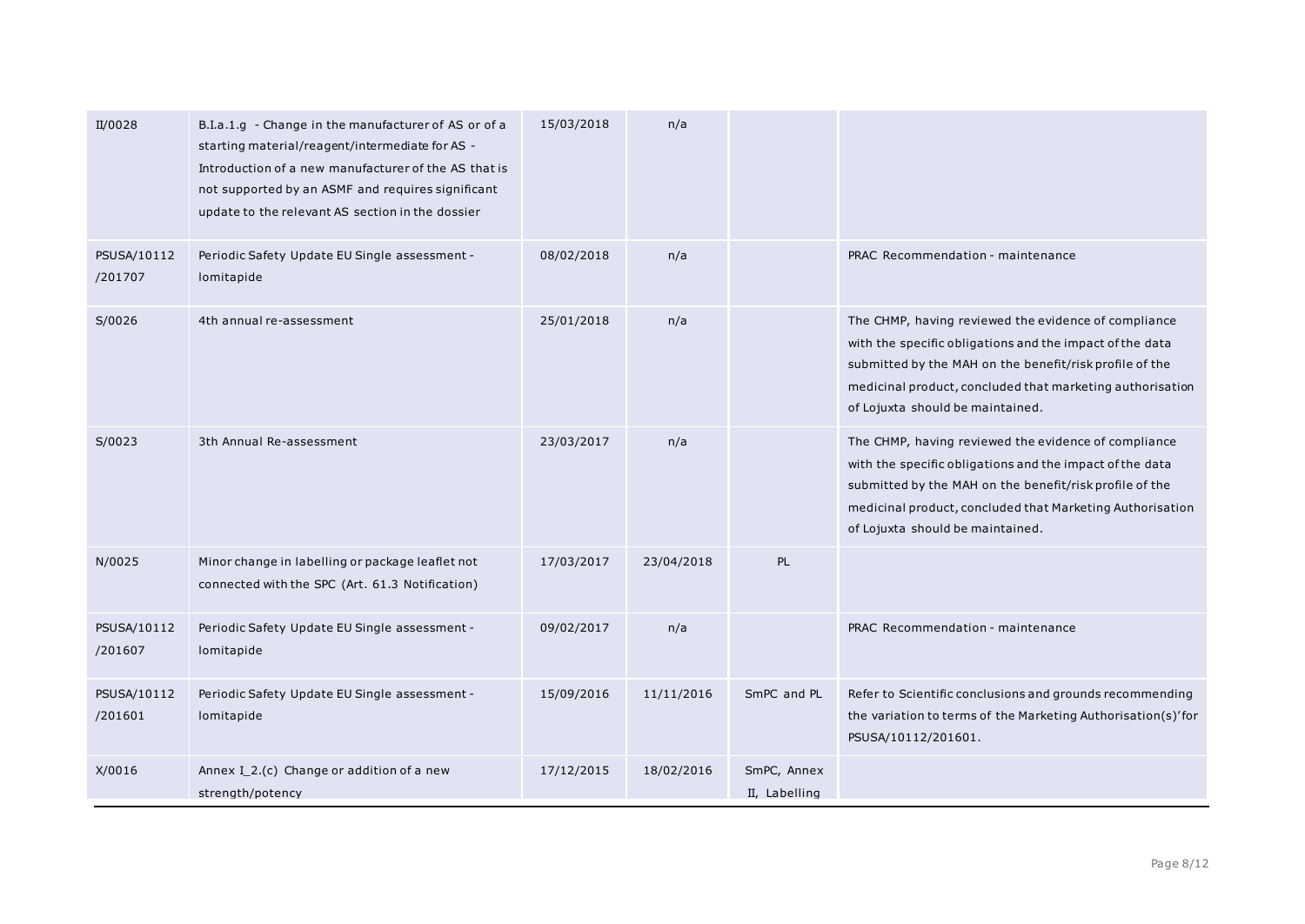| II/0028                | B.I.a.1.g - Change in the manufacturer of AS or of a<br>starting material/reagent/intermediate for AS -<br>Introduction of a new manufacturer of the AS that is<br>not supported by an ASMF and requires significant<br>update to the relevant AS section in the dossier | 15/03/2018 | n/a        |                              |                                                                                                                                                                                                                                                                              |
|------------------------|--------------------------------------------------------------------------------------------------------------------------------------------------------------------------------------------------------------------------------------------------------------------------|------------|------------|------------------------------|------------------------------------------------------------------------------------------------------------------------------------------------------------------------------------------------------------------------------------------------------------------------------|
| PSUSA/10112<br>/201707 | Periodic Safety Update EU Single assessment -<br>lomitapide                                                                                                                                                                                                              | 08/02/2018 | n/a        |                              | PRAC Recommendation - maintenance                                                                                                                                                                                                                                            |
| S/0026                 | 4th annual re-assessment                                                                                                                                                                                                                                                 | 25/01/2018 | n/a        |                              | The CHMP, having reviewed the evidence of compliance<br>with the specific obligations and the impact of the data<br>submitted by the MAH on the benefit/risk profile of the<br>medicinal product, concluded that marketing authorisation<br>of Lojuxta should be maintained. |
| S/0023                 | 3th Annual Re-assessment                                                                                                                                                                                                                                                 | 23/03/2017 | n/a        |                              | The CHMP, having reviewed the evidence of compliance<br>with the specific obligations and the impact of the data<br>submitted by the MAH on the benefit/risk profile of the<br>medicinal product, concluded that Marketing Authorisation<br>of Lojuxta should be maintained. |
| N/0025                 | Minor change in labelling or package leaflet not<br>connected with the SPC (Art. 61.3 Notification)                                                                                                                                                                      | 17/03/2017 | 23/04/2018 | PL                           |                                                                                                                                                                                                                                                                              |
| PSUSA/10112<br>/201607 | Periodic Safety Update EU Single assessment -<br>lomitapide                                                                                                                                                                                                              | 09/02/2017 | n/a        |                              | PRAC Recommendation - maintenance                                                                                                                                                                                                                                            |
| PSUSA/10112<br>/201601 | Periodic Safety Update EU Single assessment -<br>lomitapide                                                                                                                                                                                                              | 15/09/2016 | 11/11/2016 | SmPC and PL                  | Refer to Scientific conclusions and grounds recommending<br>the variation to terms of the Marketing Authorisation(s)' for<br>PSUSA/10112/201601.                                                                                                                             |
| X/0016                 | Annex I_2.(c) Change or addition of a new<br>strength/potency                                                                                                                                                                                                            | 17/12/2015 | 18/02/2016 | SmPC, Annex<br>II, Labelling |                                                                                                                                                                                                                                                                              |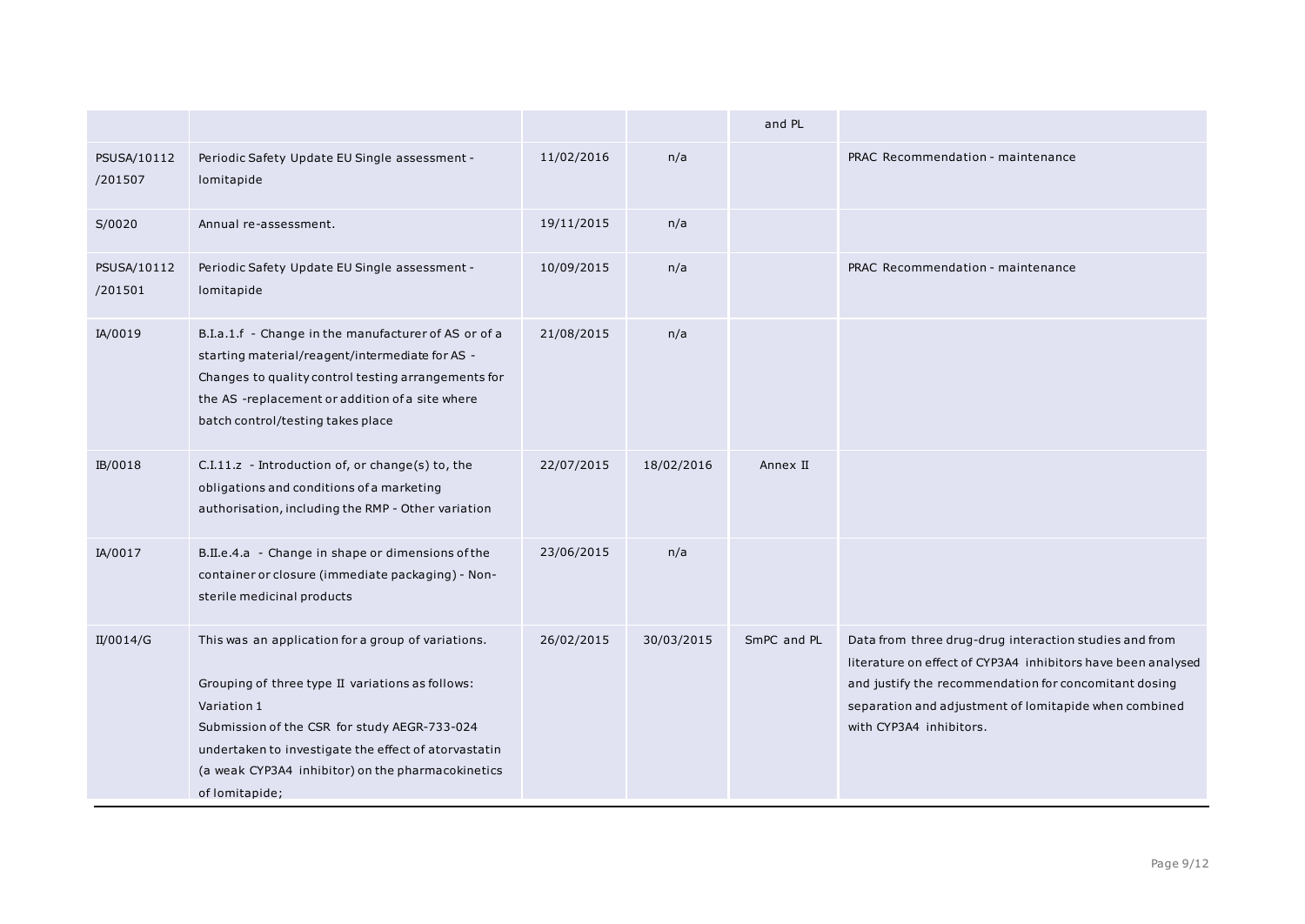|                        |                                                                                                                                                                                                                                                                                                      |            |            | and PL      |                                                                                                                                                                                                                                                                     |
|------------------------|------------------------------------------------------------------------------------------------------------------------------------------------------------------------------------------------------------------------------------------------------------------------------------------------------|------------|------------|-------------|---------------------------------------------------------------------------------------------------------------------------------------------------------------------------------------------------------------------------------------------------------------------|
| PSUSA/10112<br>/201507 | Periodic Safety Update EU Single assessment -<br>lomitapide                                                                                                                                                                                                                                          | 11/02/2016 | n/a        |             | PRAC Recommendation - maintenance                                                                                                                                                                                                                                   |
| S/0020                 | Annual re-assessment.                                                                                                                                                                                                                                                                                | 19/11/2015 | n/a        |             |                                                                                                                                                                                                                                                                     |
| PSUSA/10112<br>/201501 | Periodic Safety Update EU Single assessment -<br>lomitapide                                                                                                                                                                                                                                          | 10/09/2015 | n/a        |             | PRAC Recommendation - maintenance                                                                                                                                                                                                                                   |
| IA/0019                | B.I.a.1.f - Change in the manufacturer of AS or of a<br>starting material/reagent/intermediate for AS -<br>Changes to quality control testing arrangements for<br>the AS -replacement or addition of a site where<br>batch control/testing takes place                                               | 21/08/2015 | n/a        |             |                                                                                                                                                                                                                                                                     |
| IB/0018                | C.I.11.z - Introduction of, or change(s) to, the<br>obligations and conditions of a marketing<br>authorisation, including the RMP - Other variation                                                                                                                                                  | 22/07/2015 | 18/02/2016 | Annex II    |                                                                                                                                                                                                                                                                     |
| IA/0017                | B.II.e.4.a - Change in shape or dimensions of the<br>container or closure (immediate packaging) - Non-<br>sterile medicinal products                                                                                                                                                                 | 23/06/2015 | n/a        |             |                                                                                                                                                                                                                                                                     |
| II/0014/G              | This was an application for a group of variations.<br>Grouping of three type II variations as follows:<br>Variation 1<br>Submission of the CSR for study AEGR-733-024<br>undertaken to investigate the effect of atorvastatin<br>(a weak CYP3A4 inhibitor) on the pharmacokinetics<br>of lomitapide; | 26/02/2015 | 30/03/2015 | SmPC and PL | Data from three drug-drug interaction studies and from<br>literature on effect of CYP3A4 inhibitors have been analysed<br>and justify the recommendation for concomitant dosing<br>separation and adjustment of lomitapide when combined<br>with CYP3A4 inhibitors. |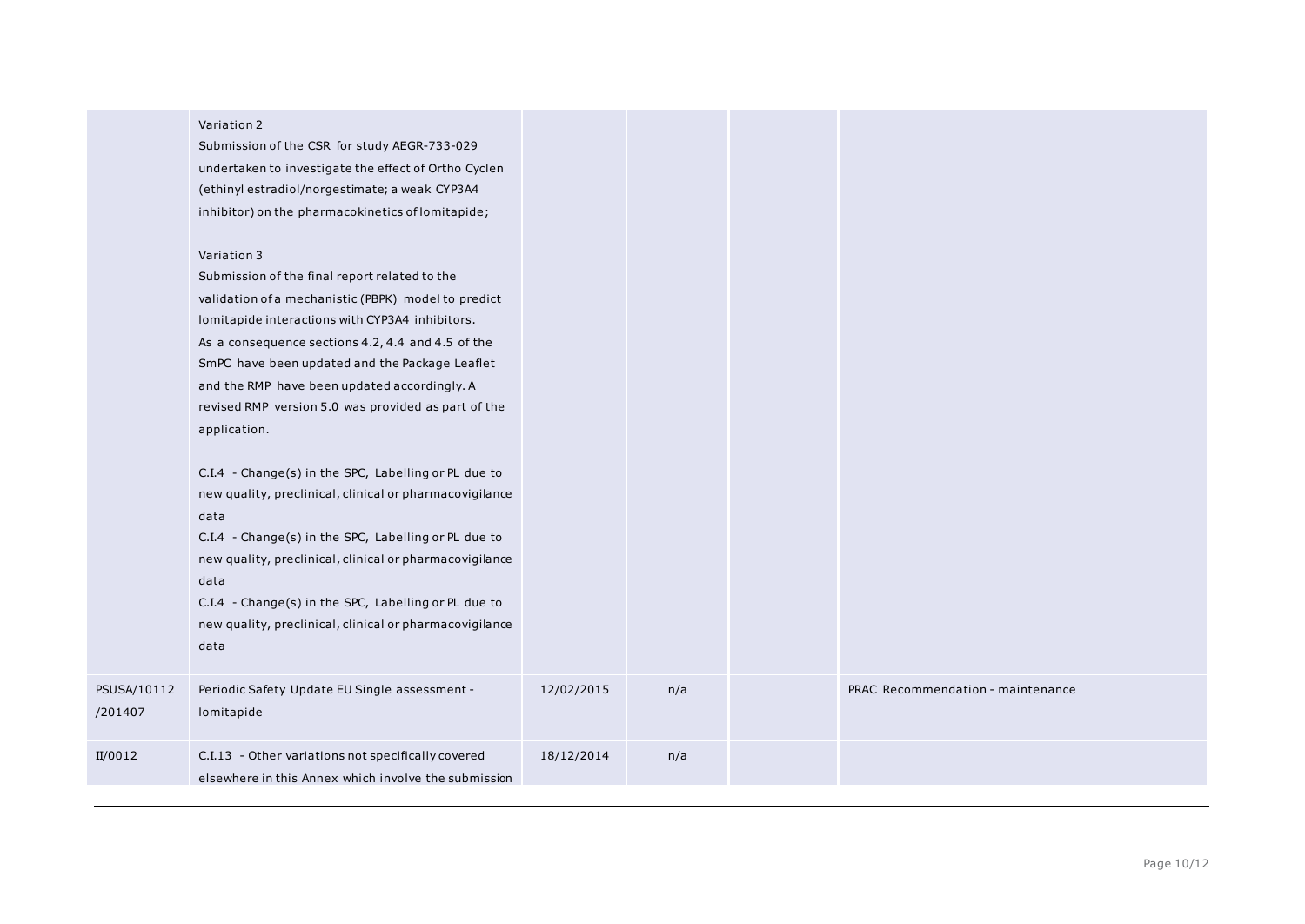|                        | Variation 2<br>Submission of the CSR for study AEGR-733-029<br>undertaken to investigate the effect of Ortho Cyclen<br>(ethinyl estradiol/norgestimate; a weak CYP3A4<br>inhibitor) on the pharmacokinetics of lomitapide;<br>Variation 3<br>Submission of the final report related to the<br>validation of a mechanistic (PBPK) model to predict<br>lomitapide interactions with CYP3A4 inhibitors.<br>As a consequence sections 4.2, 4.4 and 4.5 of the<br>SmPC have been updated and the Package Leaflet<br>and the RMP have been updated accordingly. A<br>revised RMP version 5.0 was provided as part of the<br>application.<br>C.I.4 - Change(s) in the SPC, Labelling or PL due to<br>new quality, preclinical, clinical or pharmacovigilance<br>data<br>C.I.4 - Change(s) in the SPC, Labelling or PL due to<br>new quality, preclinical, clinical or pharmacovigilance<br>data<br>C.I.4 - Change(s) in the SPC, Labelling or PL due to<br>new quality, preclinical, clinical or pharmacovigilance<br>data |            |     |                                   |
|------------------------|---------------------------------------------------------------------------------------------------------------------------------------------------------------------------------------------------------------------------------------------------------------------------------------------------------------------------------------------------------------------------------------------------------------------------------------------------------------------------------------------------------------------------------------------------------------------------------------------------------------------------------------------------------------------------------------------------------------------------------------------------------------------------------------------------------------------------------------------------------------------------------------------------------------------------------------------------------------------------------------------------------------------|------------|-----|-----------------------------------|
| PSUSA/10112<br>/201407 | Periodic Safety Update EU Single assessment -<br>lomitapide                                                                                                                                                                                                                                                                                                                                                                                                                                                                                                                                                                                                                                                                                                                                                                                                                                                                                                                                                         | 12/02/2015 | n/a | PRAC Recommendation - maintenance |
| II/0012                | C.I.13 - Other variations not specifically covered<br>elsewhere in this Annex which involve the submission                                                                                                                                                                                                                                                                                                                                                                                                                                                                                                                                                                                                                                                                                                                                                                                                                                                                                                          | 18/12/2014 | n/a |                                   |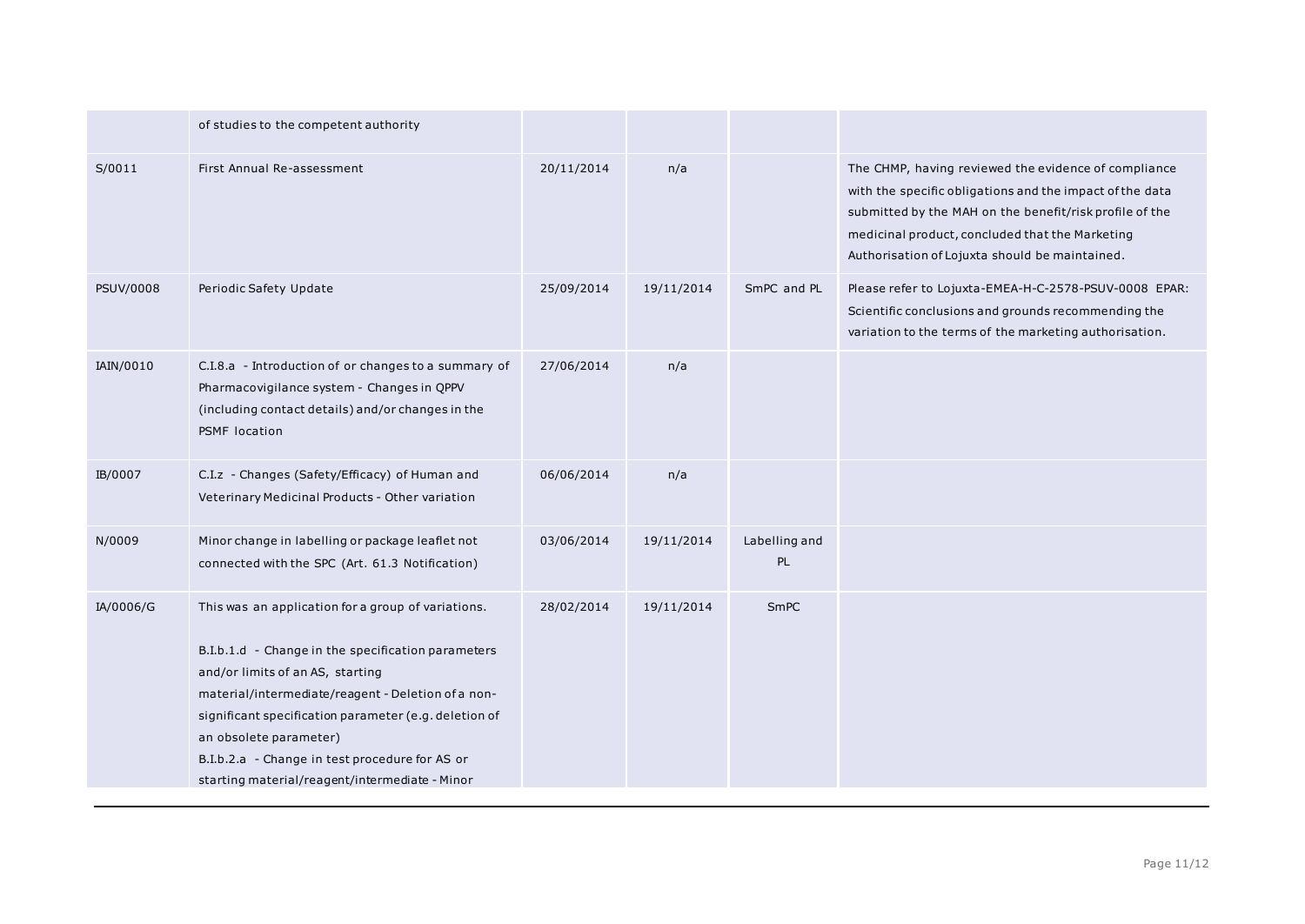|                  | of studies to the competent authority                                                                                                                                                                                                                                                                                                                                                     |            |            |                     |                                                                                                                                                                                                                                                                                  |
|------------------|-------------------------------------------------------------------------------------------------------------------------------------------------------------------------------------------------------------------------------------------------------------------------------------------------------------------------------------------------------------------------------------------|------------|------------|---------------------|----------------------------------------------------------------------------------------------------------------------------------------------------------------------------------------------------------------------------------------------------------------------------------|
| S/0011           | First Annual Re-assessment                                                                                                                                                                                                                                                                                                                                                                | 20/11/2014 | n/a        |                     | The CHMP, having reviewed the evidence of compliance<br>with the specific obligations and the impact of the data<br>submitted by the MAH on the benefit/risk profile of the<br>medicinal product, concluded that the Marketing<br>Authorisation of Lojuxta should be maintained. |
| <b>PSUV/0008</b> | Periodic Safety Update                                                                                                                                                                                                                                                                                                                                                                    | 25/09/2014 | 19/11/2014 | SmPC and PL         | Please refer to Lojuxta-EMEA-H-C-2578-PSUV-0008 EPAR:<br>Scientific conclusions and grounds recommending the<br>variation to the terms of the marketing authorisation.                                                                                                           |
| IAIN/0010        | C.I.8.a - Introduction of or changes to a summary of<br>Pharmacovigilance system - Changes in QPPV<br>(including contact details) and/or changes in the<br>PSMF location                                                                                                                                                                                                                  | 27/06/2014 | n/a        |                     |                                                                                                                                                                                                                                                                                  |
| IB/0007          | C.I.z - Changes (Safety/Efficacy) of Human and<br>Veterinary Medicinal Products - Other variation                                                                                                                                                                                                                                                                                         | 06/06/2014 | n/a        |                     |                                                                                                                                                                                                                                                                                  |
| N/0009           | Minor change in labelling or package leaflet not<br>connected with the SPC (Art. 61.3 Notification)                                                                                                                                                                                                                                                                                       | 03/06/2014 | 19/11/2014 | Labelling and<br>PL |                                                                                                                                                                                                                                                                                  |
| IA/0006/G        | This was an application for a group of variations.<br>B.I.b.1.d - Change in the specification parameters<br>and/or limits of an AS, starting<br>material/intermediate/reagent - Deletion of a non-<br>significant specification parameter (e.g. deletion of<br>an obsolete parameter)<br>B.I.b.2.a - Change in test procedure for AS or<br>starting material/reagent/intermediate - Minor | 28/02/2014 | 19/11/2014 | SmPC                |                                                                                                                                                                                                                                                                                  |